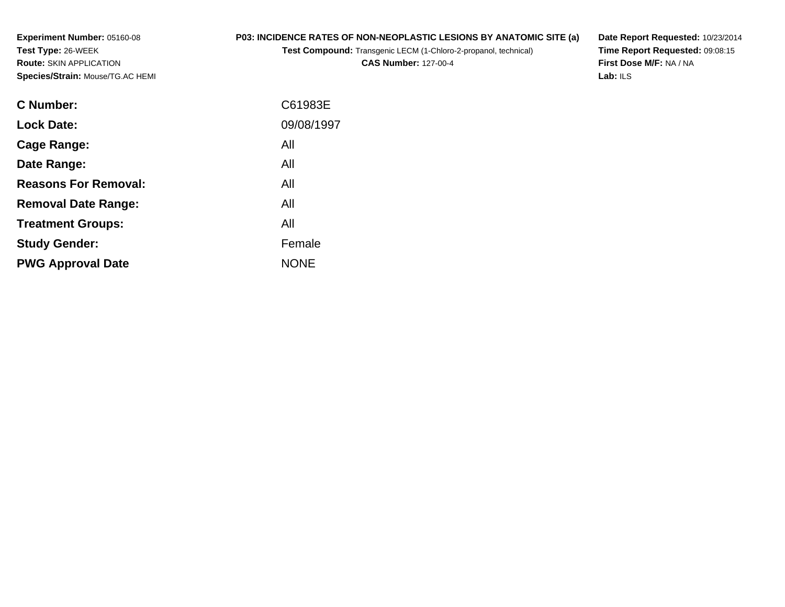**Experiment Number:** 05160-08**Test Type:** 26-WEEK **Route:** SKIN APPLICATION**Species/Strain:** Mouse/TG.AC HEMI

## **P03: INCIDENCE RATES OF NON-NEOPLASTIC LESIONS BY ANATOMIC SITE (a)**

**Test Compound:** Transgenic LECM (1-Chloro-2-propanol, technical)

**CAS Number:** 127-00-4

**Date Report Requested:** 10/23/2014 **Time Report Requested:** 09:08:15**First Dose M/F:** NA / NA**Lab:** ILS

| C Number:                   | C61983E     |
|-----------------------------|-------------|
| <b>Lock Date:</b>           | 09/08/1997  |
| Cage Range:                 | All         |
| Date Range:                 | All         |
| <b>Reasons For Removal:</b> | All         |
| <b>Removal Date Range:</b>  | All         |
| <b>Treatment Groups:</b>    | All         |
| <b>Study Gender:</b>        | Female      |
| <b>PWG Approval Date</b>    | <b>NONE</b> |
|                             |             |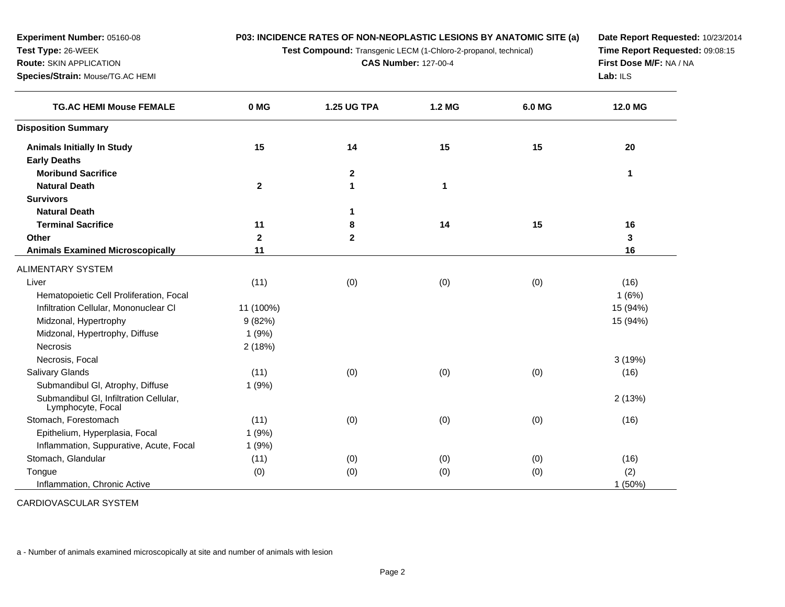**P03: INCIDENCE RATES OF NON-NEOPLASTIC LESIONS BY ANATOMIC SITE (a)**

**Test Compound:** Transgenic LECM (1-Chloro-2-propanol, technical)

**CAS Number:** 127-00-4

**Date Report Requested:** 10/23/2014**Time Report Requested:** 09:08:15**First Dose M/F:** NA / NA**Lab:** ILS

| <b>TG.AC HEMI Mouse FEMALE</b>                              | 0 MG         | <b>1.25 UG TPA</b> | 1.2 MG | 6.0 MG | 12.0 MG   |
|-------------------------------------------------------------|--------------|--------------------|--------|--------|-----------|
| <b>Disposition Summary</b>                                  |              |                    |        |        |           |
| <b>Animals Initially In Study</b>                           | 15           | 14                 | 15     | 15     | 20        |
| <b>Early Deaths</b>                                         |              |                    |        |        |           |
| <b>Moribund Sacrifice</b>                                   |              | $\mathbf{2}$       |        |        | 1         |
| <b>Natural Death</b>                                        | $\mathbf{2}$ | 1                  | 1      |        |           |
| <b>Survivors</b>                                            |              |                    |        |        |           |
| <b>Natural Death</b>                                        |              | 1                  |        |        |           |
| <b>Terminal Sacrifice</b>                                   | 11           | 8                  | 14     | 15     | 16        |
| Other                                                       | $\mathbf{2}$ | $\overline{2}$     |        |        | 3         |
| <b>Animals Examined Microscopically</b>                     | 11           |                    |        |        | 16        |
| ALIMENTARY SYSTEM                                           |              |                    |        |        |           |
| Liver                                                       | (11)         | (0)                | (0)    | (0)    | (16)      |
| Hematopoietic Cell Proliferation, Focal                     |              |                    |        |        | 1(6%)     |
| Infiltration Cellular, Mononuclear CI                       | 11 (100%)    |                    |        |        | 15 (94%)  |
| Midzonal, Hypertrophy                                       | 9(82%)       |                    |        |        | 15 (94%)  |
| Midzonal, Hypertrophy, Diffuse                              | 1(9%)        |                    |        |        |           |
| <b>Necrosis</b>                                             | 2(18%)       |                    |        |        |           |
| Necrosis, Focal                                             |              |                    |        |        | 3(19%)    |
| <b>Salivary Glands</b>                                      | (11)         | (0)                | (0)    | (0)    | (16)      |
| Submandibul GI, Atrophy, Diffuse                            | 1(9%)        |                    |        |        |           |
| Submandibul GI, Infiltration Cellular,<br>Lymphocyte, Focal |              |                    |        |        | 2(13%)    |
| Stomach, Forestomach                                        | (11)         | (0)                | (0)    | (0)    | (16)      |
| Epithelium, Hyperplasia, Focal                              | 1(9%)        |                    |        |        |           |
| Inflammation, Suppurative, Acute, Focal                     | 1(9%)        |                    |        |        |           |
| Stomach, Glandular                                          | (11)         | (0)                | (0)    | (0)    | (16)      |
| Tongue                                                      | (0)          | (0)                | (0)    | (0)    | (2)       |
| Inflammation, Chronic Active                                |              |                    |        |        | $1(50\%)$ |

CARDIOVASCULAR SYSTEM

**Experiment Number:** 05160-08

**Species/Strain:** Mouse/TG.AC HEMI

**Test Type:** 26-WEEK**Route:** SKIN APPLICATION

a - Number of animals examined microscopically at site and number of animals with lesion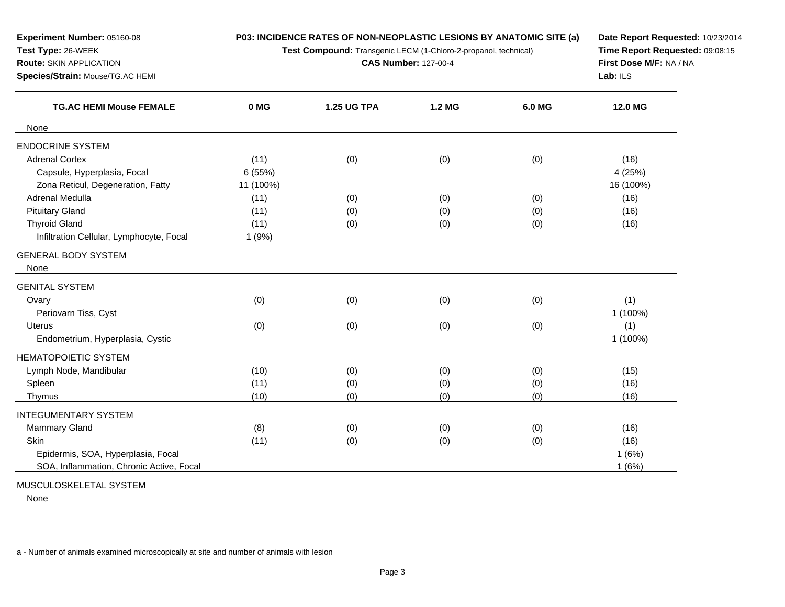| Experiment Number: 05160-08                                        |           | P03: INCIDENCE RATES OF NON-NEOPLASTIC LESIONS BY ANATOMIC SITE (a) | Date Report Requested: 10/23/2014<br>Time Report Requested: 09:08:15 |        |           |
|--------------------------------------------------------------------|-----------|---------------------------------------------------------------------|----------------------------------------------------------------------|--------|-----------|
| Test Type: 26-WEEK                                                 |           | Test Compound: Transgenic LECM (1-Chloro-2-propanol, technical)     |                                                                      |        |           |
| <b>Route: SKIN APPLICATION</b>                                     |           | <b>CAS Number: 127-00-4</b>                                         | First Dose M/F: NA / NA<br>Lab: ILS                                  |        |           |
| Species/Strain: Mouse/TG.AC HEMI<br><b>TG.AC HEMI Mouse FEMALE</b> |           |                                                                     |                                                                      |        |           |
|                                                                    | 0 MG      | <b>1.25 UG TPA</b>                                                  | 1.2 MG                                                               | 6.0 MG | 12.0 MG   |
| None                                                               |           |                                                                     |                                                                      |        |           |
| <b>ENDOCRINE SYSTEM</b>                                            |           |                                                                     |                                                                      |        |           |
| <b>Adrenal Cortex</b>                                              | (11)      | (0)                                                                 | (0)                                                                  | (0)    | (16)      |
| Capsule, Hyperplasia, Focal                                        | 6(55%)    |                                                                     |                                                                      |        | 4 (25%)   |
| Zona Reticul, Degeneration, Fatty                                  | 11 (100%) |                                                                     |                                                                      |        | 16 (100%) |
| Adrenal Medulla                                                    | (11)      | (0)                                                                 | (0)                                                                  | (0)    | (16)      |
| <b>Pituitary Gland</b>                                             | (11)      | (0)                                                                 | (0)                                                                  | (0)    | (16)      |
| <b>Thyroid Gland</b>                                               | (11)      | (0)                                                                 | (0)                                                                  | (0)    | (16)      |
| Infiltration Cellular, Lymphocyte, Focal                           | 1(9%)     |                                                                     |                                                                      |        |           |
| <b>GENERAL BODY SYSTEM</b><br>None                                 |           |                                                                     |                                                                      |        |           |
| <b>GENITAL SYSTEM</b>                                              |           |                                                                     |                                                                      |        |           |
| Ovary                                                              | (0)       | (0)                                                                 | (0)                                                                  | (0)    | (1)       |
| Periovarn Tiss, Cyst                                               |           |                                                                     |                                                                      |        | 1 (100%)  |
| Uterus                                                             | (0)       | (0)                                                                 | (0)                                                                  | (0)    | (1)       |
| Endometrium, Hyperplasia, Cystic                                   |           |                                                                     |                                                                      |        | 1 (100%)  |
| <b>HEMATOPOIETIC SYSTEM</b>                                        |           |                                                                     |                                                                      |        |           |
| Lymph Node, Mandibular                                             | (10)      | (0)                                                                 | (0)                                                                  | (0)    | (15)      |
| Spleen                                                             | (11)      | (0)                                                                 | (0)                                                                  | (0)    | (16)      |
| Thymus                                                             | (10)      | (0)                                                                 | (0)                                                                  | (0)    | (16)      |
| <b>INTEGUMENTARY SYSTEM</b>                                        |           |                                                                     |                                                                      |        |           |
| <b>Mammary Gland</b>                                               | (8)       | (0)                                                                 | (0)                                                                  | (0)    | (16)      |
| Skin                                                               | (11)      | (0)                                                                 | (0)                                                                  | (0)    | (16)      |
| Epidermis, SOA, Hyperplasia, Focal                                 |           |                                                                     |                                                                      |        | 1(6%)     |
| SOA, Inflammation, Chronic Active, Focal                           |           |                                                                     |                                                                      |        | 1(6%)     |

MUSCULOSKELETAL SYSTEM

None

a - Number of animals examined microscopically at site and number of animals with lesion